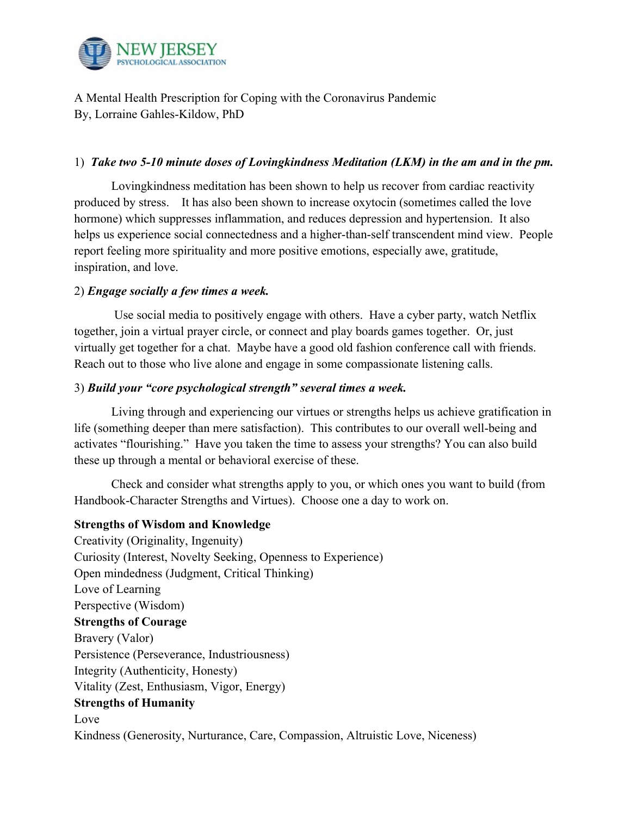

A Mental Health Prescription for Coping with the Coronavirus Pandemic By, Lorraine Gahles-Kildow, PhD

# 1) *Take two 5-10 minute doses of Lovingkindness Meditation (LKM) in the am and in the pm.*

Lovingkindness meditation has been shown to help us recover from cardiac reactivity produced by stress. It has also been shown to increase oxytocin (sometimes called the love hormone) which suppresses inflammation, and reduces depression and hypertension. It also helps us experience social connectedness and a higher-than-self transcendent mind view. People report feeling more spirituality and more positive emotions, especially awe, gratitude, inspiration, and love.

# 2) *Engage socially a few times a week.*

 Use social media to positively engage with others. Have a cyber party, watch Netflix together, join a virtual prayer circle, or connect and play boards games together. Or, just virtually get together for a chat. Maybe have a good old fashion conference call with friends. Reach out to those who live alone and engage in some compassionate listening calls.

# 3) *Build your "core psychological strength" several times a week.*

Living through and experiencing our virtues or strengths helps us achieve gratification in life (something deeper than mere satisfaction). This contributes to our overall well-being and activates "flourishing." Have you taken the time to assess your strengths? You can also build these up through a mental or behavioral exercise of these.

Check and consider what strengths apply to you, or which ones you want to build (from Handbook-Character Strengths and Virtues). Choose one a day to work on.

### **Strengths of Wisdom and Knowledge**

Creativity (Originality, Ingenuity) Curiosity (Interest, Novelty Seeking, Openness to Experience) Open mindedness (Judgment, Critical Thinking) Love of Learning Perspective (Wisdom) **Strengths of Courage**  Bravery (Valor) Persistence (Perseverance, Industriousness) Integrity (Authenticity, Honesty) Vitality (Zest, Enthusiasm, Vigor, Energy) **Strengths of Humanity**  Love Kindness (Generosity, Nurturance, Care, Compassion, Altruistic Love, Niceness)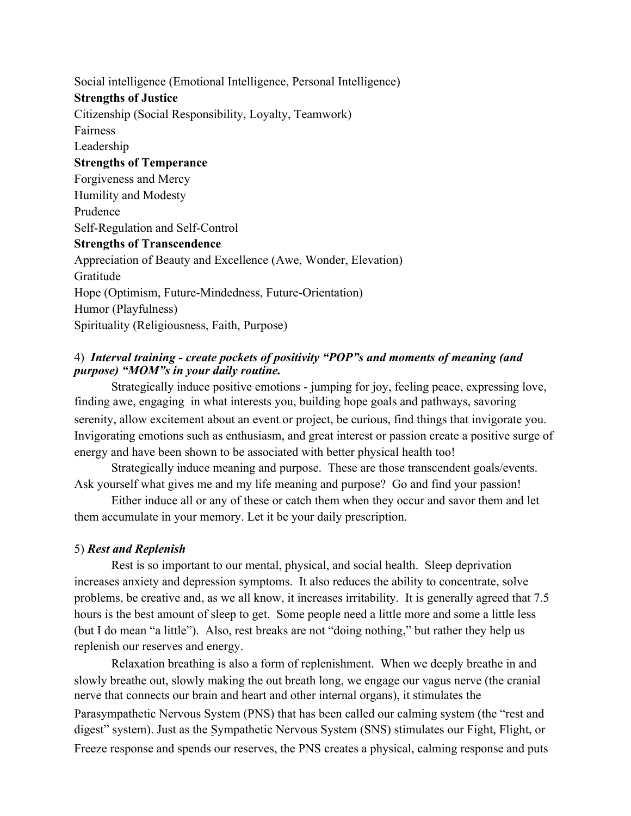Social intelligence (Emotional Intelligence, Personal Intelligence) **Strengths of Justice**  Citizenship (Social Responsibility, Loyalty, Teamwork) Fairness Leadership **Strengths of Temperance**  Forgiveness and Mercy Humility and Modesty Prudence Self-Regulation and Self-Control **Strengths of Transcendence**  Appreciation of Beauty and Excellence (Awe, Wonder, Elevation) Gratitude Hope (Optimism, Future-Mindedness, Future-Orientation) Humor (Playfulness) Spirituality (Religiousness, Faith, Purpose)

# 4) *Interval training - create pockets of positivity "POP"s and moments of meaning (and purpose) "MOM"s in your daily routine.*

Strategically induce positive emotions - jumping for joy, feeling peace, expressing love, finding awe, engaging in what interests you, building hope goals and pathways, savoring serenity, allow excitement about an event or project, be curious, find things that invigorate you. Invigorating emotions such as enthusiasm, and great interest or passion create a positive surge of energy and have been shown to be associated with better physical health too!

Strategically induce meaning and purpose. These are those transcendent goals/events. Ask yourself what gives me and my life meaning and purpose? Go and find your passion!

Either induce all or any of these or catch them when they occur and savor them and let them accumulate in your memory. Let it be your daily prescription.

#### 5) *Rest and Replenish*

Rest is so important to our mental, physical, and social health. Sleep deprivation increases anxiety and depression symptoms. It also reduces the ability to concentrate, solve problems, be creative and, as we all know, it increases irritability. It is generally agreed that 7.5 hours is the best amount of sleep to get. Some people need a little more and some a little less (but I do mean "a little"). Also, rest breaks are not "doing nothing," but rather they help us replenish our reserves and energy.

Relaxation breathing is also a form of replenishment. When we deeply breathe in and slowly breathe out, slowly making the out breath long, we engage our vagus nerve (the cranial nerve that connects our brain and heart and other internal organs), it stimulates the

Parasympathetic Nervous System (PNS) that has been called our calming system (the "rest and digest" system). Just as the Sympathetic Nervous System (SNS) stimulates our Fight, Flight, or Freeze response and spends our reserves, the PNS creates a physical, calming response and puts